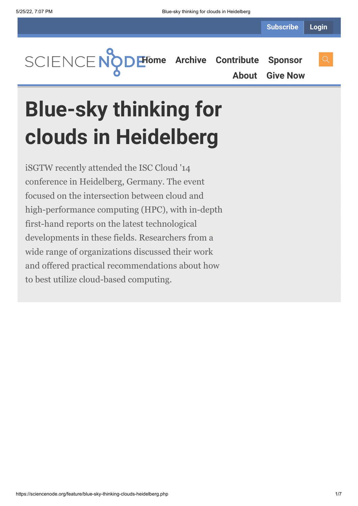**[Home](https://sciencenode.org/) [Archive](https://sciencenode.org/archive/index.php) [Contribute](https://sciencenode.org/contribute/index.php) [Sponsor](https://sciencenode.org/sponsor/index.php)**

**[About](https://sciencenode.org/about/index.php) [Give Now](https://sciencenode.org/donate/index.php)**

# **Blue-sky thinking for clouds in Heidelberg**

iSGTW recently attended the ISC Cloud '14 conference in Heidelberg, Germany. The event focused on the intersection between cloud and high-performance computing (HPC), with in-depth first-hand reports on the latest technological developments in these fields. Researchers from a wide range of organizations discussed their work and offered practical recommendations about how to best utilize cloud-based computing.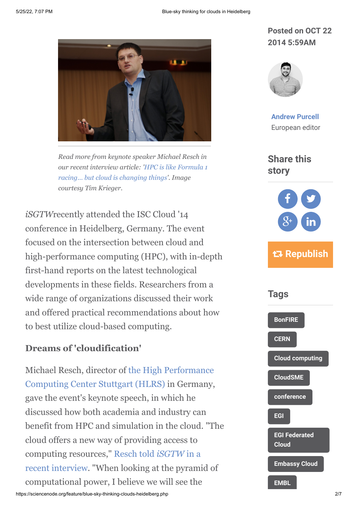

*Read more from keynote speaker Michael Resch in [our recent interview article: 'HPC is like Formula 1](http://www.isgtw.org/feature/hpc-formula-1-racing%E2%80%A6-cloud-changing-things) racing… but cloud is changing things'. Image courtesy Tim Krieger.*

*iSGTW*recently attended the ISC Cloud '14 conference in Heidelberg, Germany. The event focused on the intersection between cloud and high-performance computing (HPC), with in-depth first-hand reports on the latest technological developments in these fields. Researchers from a wide range of organizations discussed their work and offered practical recommendations about how to best utilize cloud-based computing.

### **Dreams of 'cloudification'**

https://sciencenode.org/feature/blue-sky-thinking-clouds-heidelberg.php 207 [Michael Resch, director of the High Performance](http://www.hlrs.de/) Computing Center Stuttgart (HLRS) in Germany, gave the event's keynote speech, in which he discussed how both academia and industry can benefit from HPC and simulation in the cloud. "The cloud offers a new way of providing access to computing resources," Resch told *iSGTW* in a [recent interview. "When looking at the pyrami](http://www.isgtw.org/feature/hpc-formula-1-racing%E2%80%A6-cloud-changing-things)d of computational power, I believe we will see the

# **Posted on OCT 22 2014 5:59AM**



**[Andrew Purcell](https://sciencenode.org/author/andrew-purcell.php)** European editor

**Share this story**



# **Republish**

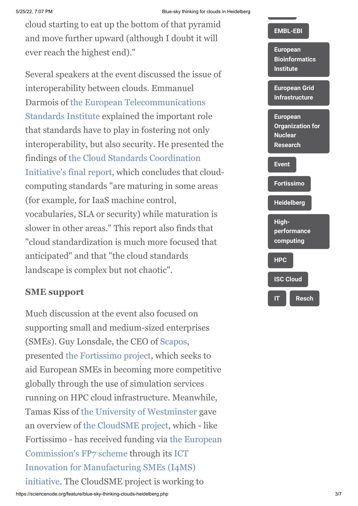#### 5/25/22, 7:07 PM Blue-sky thinking for clouds in Heidelberg

cloud starting to eat up the bottom of that pyramid and move further upward (although I doubt it will ever reach the highest end)."

Several speakers at the event discussed the issue of interoperability between clouds. Emmanuel [Darmois of the European Telecommunications](http://www.etsi.org/) Standards Institute explained the important role that standards have to play in fostering not only interoperability, but also security. He presented the [findings of the Cloud Standards Coordination](file:///C:/Users/apurcell/Downloads/CloudStandardsCoordination-FinalReport.pdf) Initiative's final report, which concludes that cloudcomputing standards "are maturing in some areas (for example, for IaaS machine control, vocabularies, SLA or security) while maturation is slower in other areas." This report also finds that "cloud standardization is much more focused that anticipated" and that "the cloud standards landscape is complex but not chaotic".

# **SME support**

Much discussion at the event also focused on supporting small and medium-sized enterprises (SMEs). Guy Lonsdale, the CEO of [Scapos,](http://www.scapos.com/) presented [the Fortissimo project,](http://www.fortissimo-project.eu/) which seeks to aid European SMEs in becoming more competitive globally through the use of simulation services running on HPC cloud infrastructure. Meanwhile, Tamas Kiss of [the University of Westminster](http://www.westminster.ac.uk/) gave an overview of [the CloudSME project](http://cloudsme.eu/), which - like [Fortissimo - has received funding via the European](http://cordis.europa.eu/fp7/home_en.html) Commission's FP7 scheme through its ICT [Innovation for Manufacturing SMEs \(I4MS\)](http://i4ms.eu/i4ms/i4ms.php) initiative. The CloudSME project is working to

#### **[EMBL-EBI](https://sciencenode.org/tag/?tag=EMBL-EBI)**

**European [Bioinformatics](https://sciencenode.org/tag/?tag=European%20Bioinformatics%20Institute) Institute**

#### **[European Grid](https://sciencenode.org/tag/?tag=European%20Grid%20Infrastructure) Infrastructure**

**European [Organization for](https://sciencenode.org/tag/?tag=European%20Organization%20for%20Nuclear%20Research) Nuclear Research**

#### **[Event](https://sciencenode.org/tag/?tag=Event)**

**[Fortissimo](https://sciencenode.org/tag/?tag=Fortissimo)**

**[Heidelberg](https://sciencenode.org/tag/?tag=Heidelberg)**

**High[performance](https://sciencenode.org/tag/?tag=High-performance%20computing) computing**

**[HPC](https://sciencenode.org/tag/?tag=HPC) [ISC Cloud](https://sciencenode.org/tag/?tag=ISC%20Cloud)**

**[IT](https://sciencenode.org/tag/?tag=IT) [Resch](https://sciencenode.org/tag/?tag=Resch)**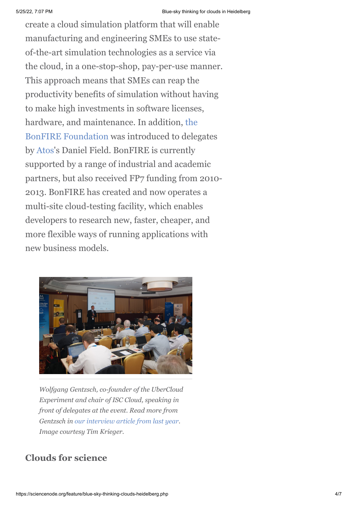create a cloud simulation platform that will enable manufacturing and engineering SMEs to use stateof-the-art simulation technologies as a service via the cloud, in a one-stop-shop, pay-per-use manner. This approach means that SMEs can reap the productivity benefits of simulation without having to make high investments in software licenses, hardware, and maintenance. In addition, the [BonFIRE Foundation was introduced to deleg](http://www.bonfire-project.eu/)ates by [Atos](http://en.wikipedia.org/wiki/Atos)'s Daniel Field. BonFIRE is currently supported by a range of industrial and academic partners, but also received FP7 funding from 2010- 2013. BonFIRE has created and now operates a multi-site cloud-testing facility, which enables developers to research new, faster, cheaper, and more flexible ways of running applications with new business models.



*Wolfgang Gentzsch, co-founder of the UberCloud Experiment and chair of ISC Cloud, speaking in front of delegates at the event. Read more from Gentzsch in [our interview article from last year](http://www.isgtw.org/feature/forecasting-challenges-and-highlights-cloudscape-v-wolfgang-gentzsch). Image courtesy Tim Krieger.*

# **Clouds for science**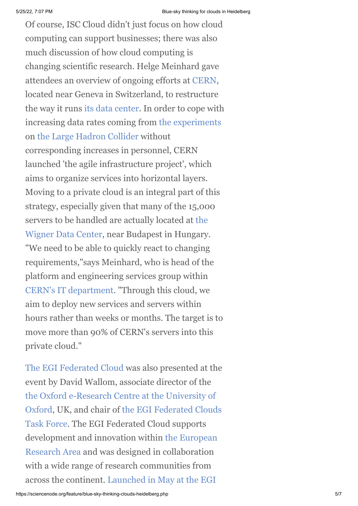Of course, ISC Cloud didn't just focus on how cloud computing can support businesses; there was also much discussion of how cloud computing is changing scientific research. Helge Meinhard gave attendees an overview of ongoing efforts at [CERN](http://home.web.cern.ch/), located near Geneva in Switzerland, to restructure the way it runs [its data center](http://information-technology.web.cern.ch/about/computer-centre). In order to cope with increasing data rates coming from [the experiments](http://home.web.cern.ch/about/experiments) on [the Large Hadron Collider](http://home.web.cern.ch/topics/large-hadron-collider) without corresponding increases in personnel, CERN launched 'the agile infrastructure project', which aims to organize services into horizontal layers. Moving to a private cloud is an integral part of this strategy, especially given that many of the 15,000 servers to be handled are actually located at the [Wigner Data Center, near Budapest in Hungary](http://information-technology.web.cern.ch/opendays2013/wigner). "We need to be able to quickly react to changing requirements,"says Meinhard, who is head of the platform and engineering services group within [CERN's IT department.](http://information-technology.web.cern.ch/) "Through this cloud, we aim to deploy new services and servers within hours rather than weeks or months. The target is to move more than 90% of CERN's servers into this private cloud."

[The EGI Federated Cloud](http://www.egi.eu/infrastructure/cloud/index.html) was also presented at the event by David Wallom, associate director of the [the Oxford e-Research Centre at the University of](http://www.oerc.ox.ac.uk/) [Oxford, UK, and chair of the EGI Federated Clouds](https://www.egi.eu/infrastructure/cloud/cloudtaskforce.html) Task Force. The EGI Federated Cloud supports [development and innovation within the European](http://ec.europa.eu/research/era/index_en.htm) Research Area and was designed in collaboration with a wide range of research communities from [across the continent. Launched in May at the EGI](http://www.isgtw.org/feature/advancing-excellent-science-egi-community-forum)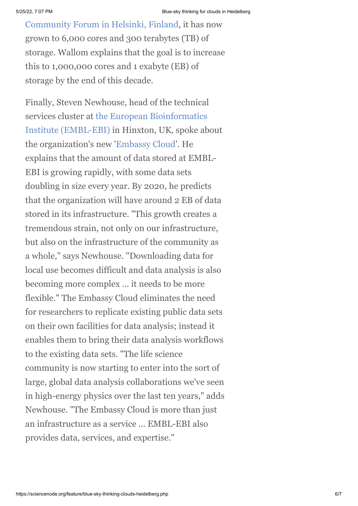[Community Forum in Helsinki, Finland, it has no](http://www.isgtw.org/feature/advancing-excellent-science-egi-community-forum)w grown to 6,000 cores and 300 terabytes (TB) of storage. Wallom explains that the goal is to increase this to 1,000,000 cores and 1 exabyte (EB) of storage by the end of this decade.

Finally, Steven Newhouse, head of the technical services cluster at the European Bioinformatics [Institute \(EMBL-EBI\) in Hinxton, UK, spoke ab](http://www.ebi.ac.uk/)out the organization's new '[Embassy Cloud](http://www.embl-em.de/downloads/5/EMBL-EBI_Embassy_Cloud.pdf)'. He explains that the amount of data stored at EMBL-EBI is growing rapidly, with some data sets doubling in size every year. By 2020, he predicts that the organization will have around 2 EB of data stored in its infrastructure. "This growth creates a tremendous strain, not only on our infrastructure, but also on the infrastructure of the community as a whole," says Newhouse. "Downloading data for local use becomes difficult and data analysis is also becoming more complex … it needs to be more flexible." The Embassy Cloud eliminates the need for researchers to replicate existing public data sets on their own facilities for data analysis; instead it enables them to bring their data analysis workflows to the existing data sets. "The life science community is now starting to enter into the sort of large, global data analysis collaborations we've seen in high-energy physics over the last ten years," adds Newhouse. "The Embassy Cloud is more than just an infrastructure as a service ... EMBL-EBI also provides data, services, and expertise."